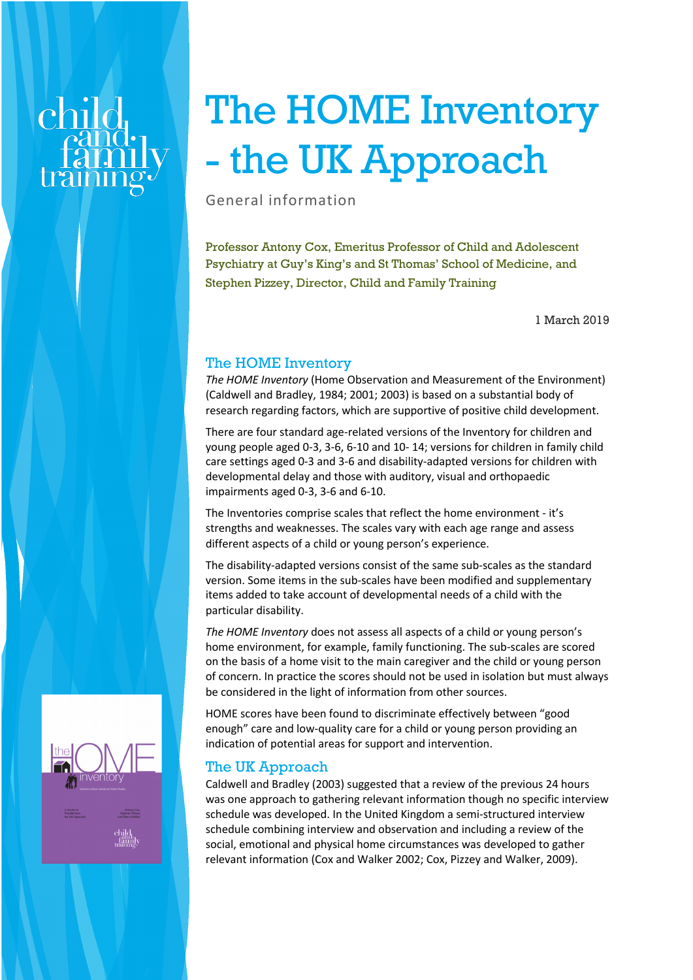# The HOME Inventory - the UK Approach

General information

Professor Antony Cox, Emeritus Professor of Child and Adolescent Psychiatry at Guy's King's and St Thomas' School of Medicine, and Stephen Pizzey, Director, Child and Family Training

1 March 2019

## The HOME Inventory

*The HOME Inventory* (Home Observation and Measurement of the Environment) (Caldwell and Bradley, 1984; 2001; 2003) is based on a substantial body of research regarding factors, which are supportive of positive child development.

There are four standard age-related versions of the Inventory for children and young people aged 0-3, 3-6, 6-10 and 10- 14; versions for children in family child care settings aged 0-3 and 3-6 and disability-adapted versions for children with developmental delay and those with auditory, visual and orthopaedic impairments aged 0-3, 3-6 and 6-10.

The Inventories comprise scales that reflect the home environment - it's strengths and weaknesses. The scales vary with each age range and assess different aspects of a child or young person's experience.

The disability-adapted versions consist of the same sub-scales as the standard version. Some items in the sub-scales have been modified and supplementary items added to take account of developmental needs of a child with the particular disability.

*The HOME Inventory* does not assess all aspects of a child or young person's home environment, for example, family functioning. The sub-scales are scored on the basis of a home visit to the main caregiver and the child or young person of concern. In practice the scores should not be used in isolation but must always be considered in the light of information from other sources.

HOME scores have been found to discriminate effectively between "good enough" care and low-quality care for a child or young person providing an indication of potential areas for support and intervention.

# The UK Approach

Caldwell and Bradley (2003) suggested that a review of the previous 24 hours was one approach to gathering relevant information though no specific interview schedule was developed. In the United Kingdom a semi-structured interview schedule combining interview and observation and including a review of the social, emotional and physical home circumstances was developed to gather relevant information (Cox and Walker 2002; Cox, Pizzey and Walker, 2009).